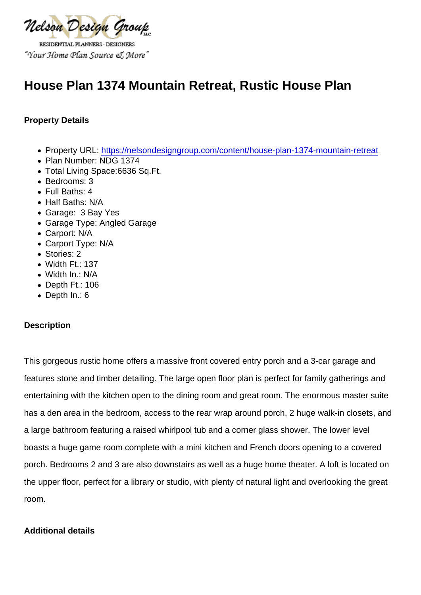# House Plan 1374 Mountain Retreat, Rustic House Plan

Property Details

- Property URL:<https://nelsondesigngroup.com/content/house-plan-1374-mountain-retreat>
- Plan Number: NDG 1374
- Total Living Space:6636 Sq.Ft.
- Bedrooms: 3
- Full Baths: 4
- Half Baths: N/A
- Garage: 3 Bay Yes
- Garage Type: Angled Garage
- Carport: N/A
- Carport Type: N/A
- Stories: 2
- Width Ft.: 137
- Width In.: N/A
- Depth Ft.: 106
- Depth In.: 6

## **Description**

This gorgeous rustic home offers a massive front covered entry porch and a 3-car garage and features stone and timber detailing. The large open floor plan is perfect for family gatherings and entertaining with the kitchen open to the dining room and great room. The enormous master suite has a den area in the bedroom, access to the rear wrap around porch, 2 huge walk-in closets, and a large bathroom featuring a raised whirlpool tub and a corner glass shower. The lower level boasts a huge game room complete with a mini kitchen and French doors opening to a covered porch. Bedrooms 2 and 3 are also downstairs as well as a huge home theater. A loft is located on the upper floor, perfect for a library or studio, with plenty of natural light and overlooking the great room.

## Additional details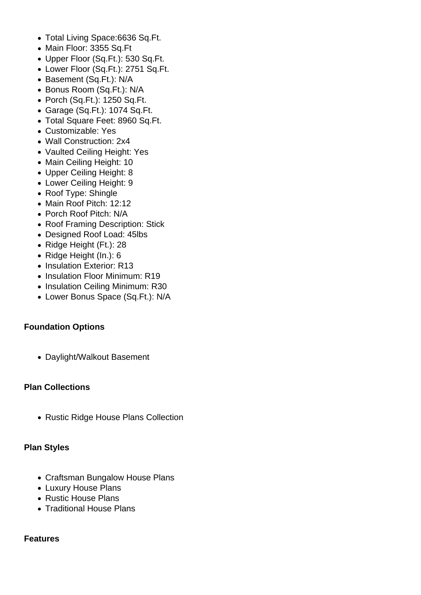- Total Living Space:6636 Sq.Ft.
- Main Floor: 3355 Sq.Ft
- Upper Floor (Sq.Ft.): 530 Sq.Ft.
- Lower Floor (Sq.Ft.): 2751 Sq.Ft.
- Basement (Sq.Ft.): N/A
- Bonus Room (Sq.Ft.): N/A
- Porch (Sq.Ft.): 1250 Sq.Ft.
- Garage (Sq.Ft.): 1074 Sq.Ft.
- Total Square Feet: 8960 Sq.Ft.
- Customizable: Yes
- Wall Construction: 2x4
- Vaulted Ceiling Height: Yes
- Main Ceiling Height: 10
- Upper Ceiling Height: 8
- Lower Ceiling Height: 9
- Roof Type: Shingle
- Main Roof Pitch: 12:12
- Porch Roof Pitch: N/A
- Roof Framing Description: Stick
- Designed Roof Load: 45lbs
- Ridge Height (Ft.): 28
- Ridge Height (In.): 6
- Insulation Exterior: R13
- Insulation Floor Minimum: R19
- Insulation Ceiling Minimum: R30
- Lower Bonus Space (Sq.Ft.): N/A

## **Foundation Options**

Daylight/Walkout Basement

## **Plan Collections**

• Rustic Ridge House Plans Collection

## **Plan Styles**

- Craftsman Bungalow House Plans
- Luxury House Plans
- Rustic House Plans
- Traditional House Plans

## **Features**